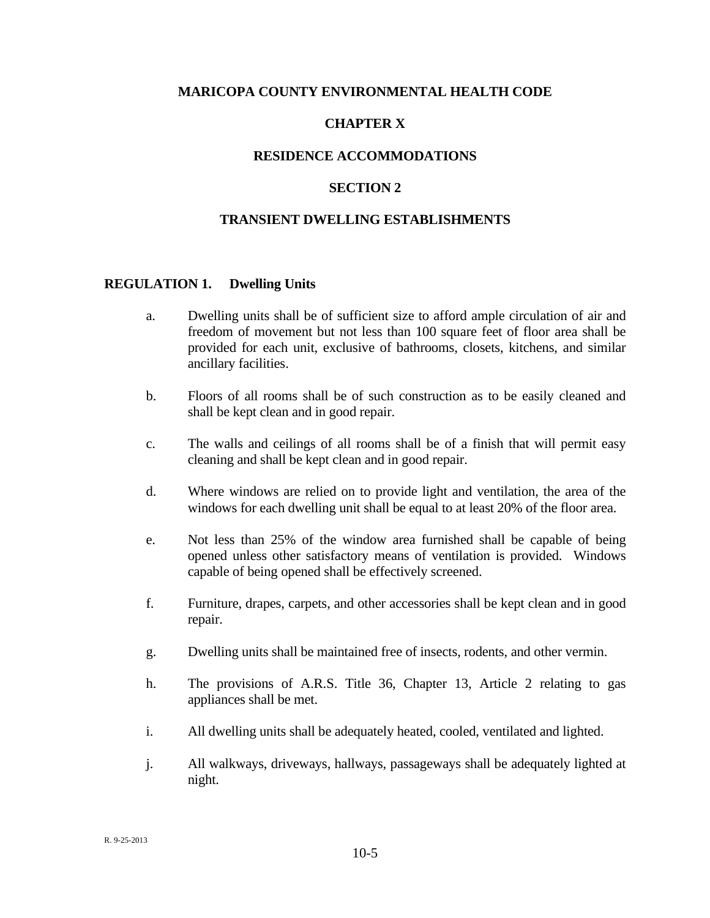#### **MARICOPA COUNTY ENVIRONMENTAL HEALTH CODE**

# **CHAPTER X**

### **RESIDENCE ACCOMMODATIONS**

### **SECTION 2**

### **TRANSIENT DWELLING ESTABLISHMENTS**

#### **REGULATION 1. Dwelling Units**

- a. Dwelling units shall be of sufficient size to afford ample circulation of air and freedom of movement but not less than 100 square feet of floor area shall be provided for each unit, exclusive of bathrooms, closets, kitchens, and similar ancillary facilities.
- b. Floors of all rooms shall be of such construction as to be easily cleaned and shall be kept clean and in good repair.
- c. The walls and ceilings of all rooms shall be of a finish that will permit easy cleaning and shall be kept clean and in good repair.
- d. Where windows are relied on to provide light and ventilation, the area of the windows for each dwelling unit shall be equal to at least 20% of the floor area.
- e. Not less than 25% of the window area furnished shall be capable of being opened unless other satisfactory means of ventilation is provided. Windows capable of being opened shall be effectively screened.
- f. Furniture, drapes, carpets, and other accessories shall be kept clean and in good repair.
- g. Dwelling units shall be maintained free of insects, rodents, and other vermin.
- h. The provisions of A.R.S. Title 36, Chapter 13, Article 2 relating to gas appliances shall be met.
- i. All dwelling units shall be adequately heated, cooled, ventilated and lighted.
- j. All walkways, driveways, hallways, passageways shall be adequately lighted at night.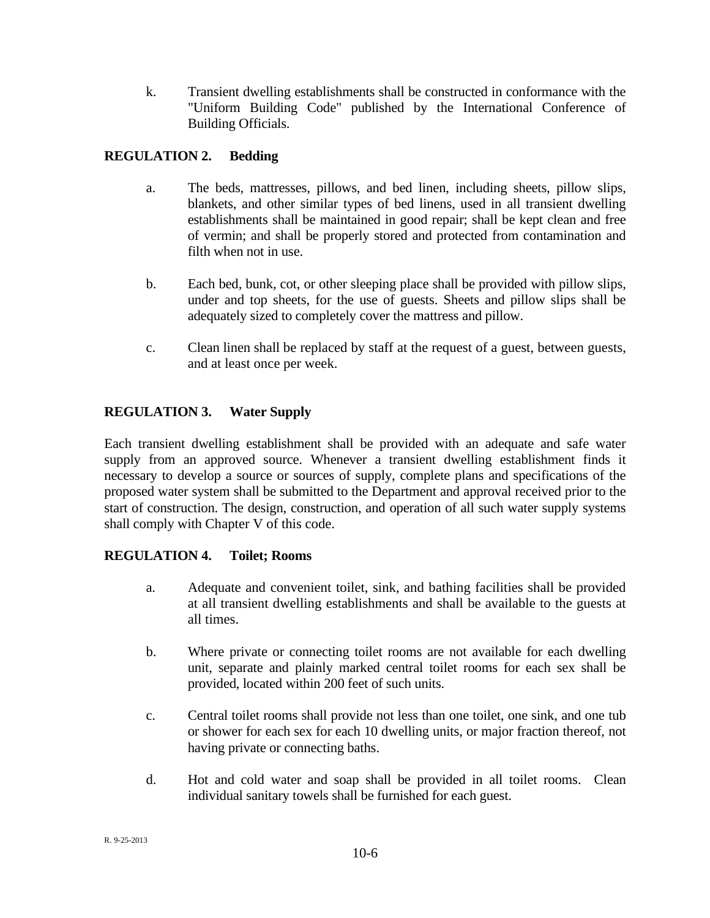k. Transient dwelling establishments shall be constructed in conformance with the "Uniform Building Code" published by the International Conference of Building Officials.

# **REGULATION 2. Bedding**

- a. The beds, mattresses, pillows, and bed linen, including sheets, pillow slips, blankets, and other similar types of bed linens, used in all transient dwelling establishments shall be maintained in good repair; shall be kept clean and free of vermin; and shall be properly stored and protected from contamination and filth when not in use.
- b. Each bed, bunk, cot, or other sleeping place shall be provided with pillow slips, under and top sheets, for the use of guests. Sheets and pillow slips shall be adequately sized to completely cover the mattress and pillow.
- c. Clean linen shall be replaced by staff at the request of a guest, between guests, and at least once per week.

# **REGULATION 3. Water Supply**

Each transient dwelling establishment shall be provided with an adequate and safe water supply from an approved source. Whenever a transient dwelling establishment finds it necessary to develop a source or sources of supply, complete plans and specifications of the proposed water system shall be submitted to the Department and approval received prior to the start of construction. The design, construction, and operation of all such water supply systems shall comply with Chapter V of this code.

# **REGULATION 4. Toilet; Rooms**

- a. Adequate and convenient toilet, sink, and bathing facilities shall be provided at all transient dwelling establishments and shall be available to the guests at all times.
- b. Where private or connecting toilet rooms are not available for each dwelling unit, separate and plainly marked central toilet rooms for each sex shall be provided, located within 200 feet of such units.
- c. Central toilet rooms shall provide not less than one toilet, one sink, and one tub or shower for each sex for each 10 dwelling units, or major fraction thereof, not having private or connecting baths.
- d. Hot and cold water and soap shall be provided in all toilet rooms. Clean individual sanitary towels shall be furnished for each guest.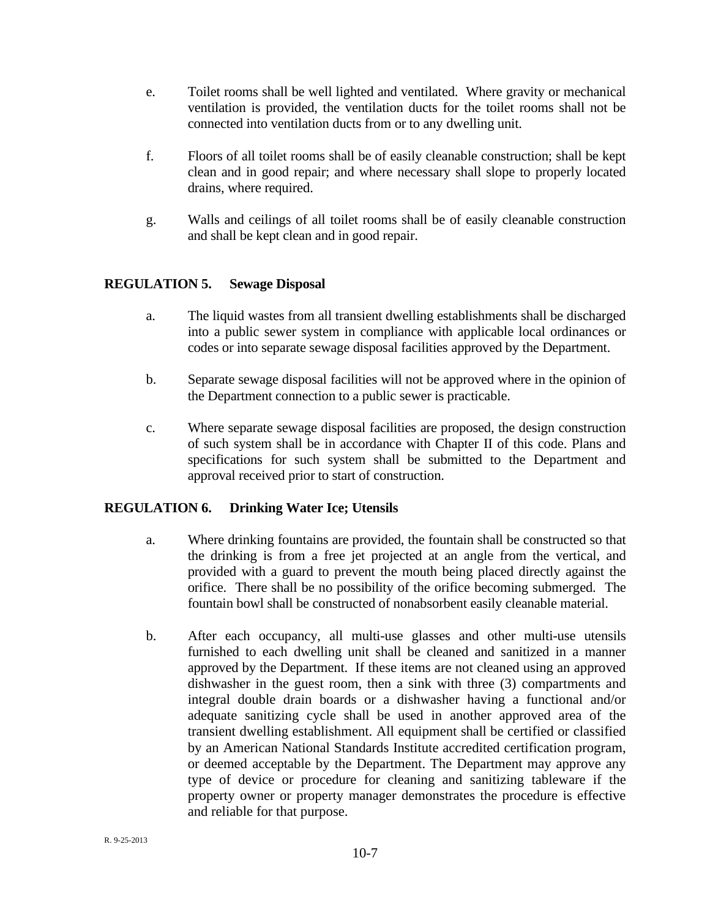- e. Toilet rooms shall be well lighted and ventilated. Where gravity or mechanical ventilation is provided, the ventilation ducts for the toilet rooms shall not be connected into ventilation ducts from or to any dwelling unit.
- f. Floors of all toilet rooms shall be of easily cleanable construction; shall be kept clean and in good repair; and where necessary shall slope to properly located drains, where required.
- g. Walls and ceilings of all toilet rooms shall be of easily cleanable construction and shall be kept clean and in good repair.

# **REGULATION 5. Sewage Disposal**

- a. The liquid wastes from all transient dwelling establishments shall be discharged into a public sewer system in compliance with applicable local ordinances or codes or into separate sewage disposal facilities approved by the Department.
- b. Separate sewage disposal facilities will not be approved where in the opinion of the Department connection to a public sewer is practicable.
- c. Where separate sewage disposal facilities are proposed, the design construction of such system shall be in accordance with Chapter II of this code. Plans and specifications for such system shall be submitted to the Department and approval received prior to start of construction.

## **REGULATION 6. Drinking Water Ice; Utensils**

- a. Where drinking fountains are provided, the fountain shall be constructed so that the drinking is from a free jet projected at an angle from the vertical, and provided with a guard to prevent the mouth being placed directly against the orifice. There shall be no possibility of the orifice becoming submerged. The fountain bowl shall be constructed of nonabsorbent easily cleanable material.
- b. After each occupancy, all multi-use glasses and other multi-use utensils furnished to each dwelling unit shall be cleaned and sanitized in a manner approved by the Department. If these items are not cleaned using an approved dishwasher in the guest room, then a sink with three (3) compartments and integral double drain boards or a dishwasher having a functional and/or adequate sanitizing cycle shall be used in another approved area of the transient dwelling establishment. All equipment shall be certified or classified by an American National Standards Institute accredited certification program, or deemed acceptable by the Department. The Department may approve any type of device or procedure for cleaning and sanitizing tableware if the property owner or property manager demonstrates the procedure is effective and reliable for that purpose.